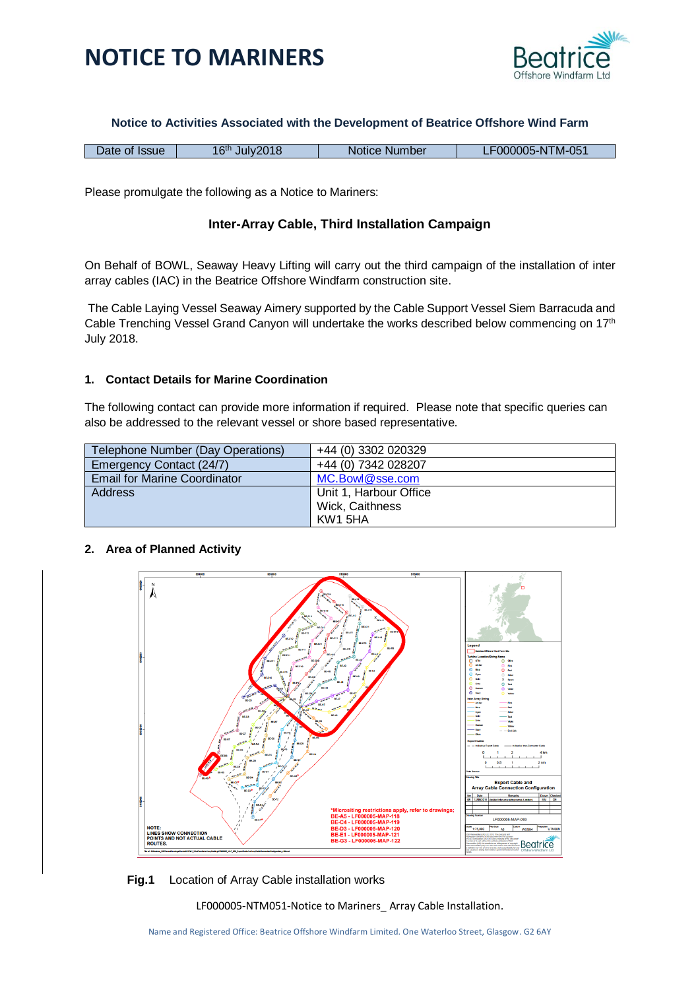

### **Notice to Activities Associated with the Development of Beatrice Offshore Wind Farm**

|  | Date of Issue | 16 <sup>th</sup><br>Julv2018 | Notice Number | F000005-NTM-051 |
|--|---------------|------------------------------|---------------|-----------------|
|--|---------------|------------------------------|---------------|-----------------|

Please promulgate the following as a Notice to Mariners:

### **Inter-Array Cable, Third Installation Campaign**

On Behalf of BOWL, Seaway Heavy Lifting will carry out the third campaign of the installation of inter array cables (IAC) in the Beatrice Offshore Windfarm construction site.

The Cable Laying Vessel Seaway Aimery supported by the Cable Support Vessel Siem Barracuda and Cable Trenching Vessel Grand Canyon will undertake the works described below commencing on 17<sup>th</sup> July 2018.

### **1. Contact Details for Marine Coordination**

The following contact can provide more information if required. Please note that specific queries can also be addressed to the relevant vessel or shore based representative.

| Telephone Number (Day Operations)   | +44 (0) 3302 020329    |
|-------------------------------------|------------------------|
| Emergency Contact (24/7)            | +44 (0) 7342 028207    |
| <b>Email for Marine Coordinator</b> | MC.Bowl@sse.com        |
| Address                             | Unit 1, Harbour Office |
|                                     | Wick, Caithness        |
|                                     | KW1 5HA                |

#### **2. Area of Planned Activity**



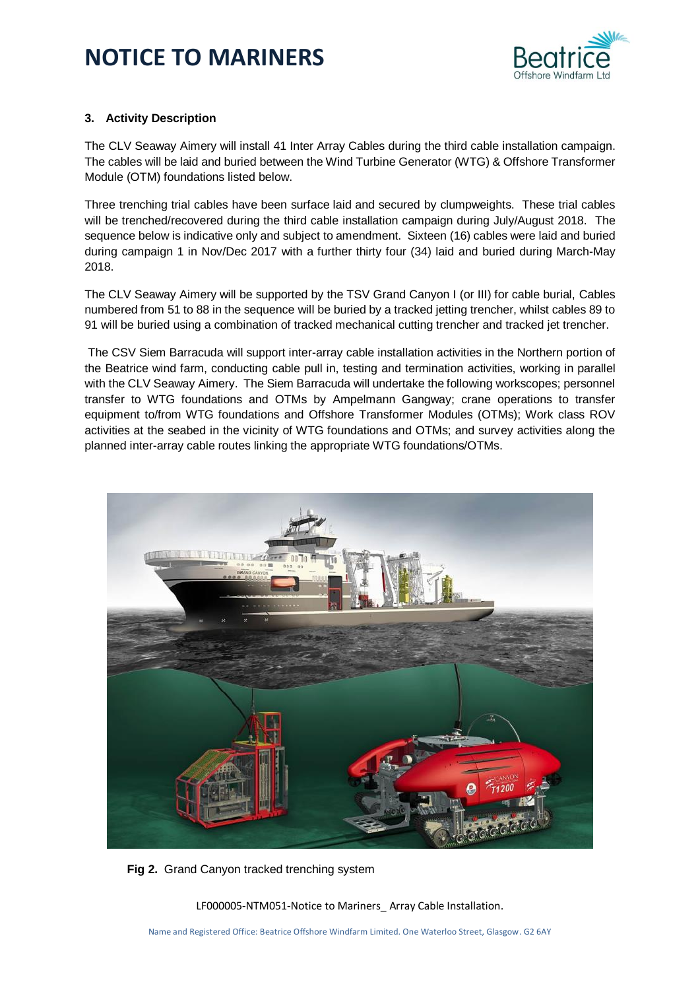

### **3. Activity Description**

The CLV Seaway Aimery will install 41 Inter Array Cables during the third cable installation campaign. The cables will be laid and buried between the Wind Turbine Generator (WTG) & Offshore Transformer Module (OTM) foundations listed below.

Three trenching trial cables have been surface laid and secured by clumpweights. These trial cables will be trenched/recovered during the third cable installation campaign during July/August 2018. The sequence below is indicative only and subject to amendment. Sixteen (16) cables were laid and buried during campaign 1 in Nov/Dec 2017 with a further thirty four (34) laid and buried during March-May 2018.

The CLV Seaway Aimery will be supported by the TSV Grand Canyon I (or III) for cable burial, Cables numbered from 51 to 88 in the sequence will be buried by a tracked jetting trencher, whilst cables 89 to 91 will be buried using a combination of tracked mechanical cutting trencher and tracked jet trencher.

The CSV Siem Barracuda will support inter-array cable installation activities in the Northern portion of the Beatrice wind farm, conducting cable pull in, testing and termination activities, working in parallel with the CLV Seaway Aimery. The Siem Barracuda will undertake the following workscopes; personnel transfer to WTG foundations and OTMs by Ampelmann Gangway; crane operations to transfer equipment to/from WTG foundations and Offshore Transformer Modules (OTMs); Work class ROV activities at the seabed in the vicinity of WTG foundations and OTMs; and survey activities along the planned inter-array cable routes linking the appropriate WTG foundations/OTMs.



**Fig 2.** Grand Canyon tracked trenching system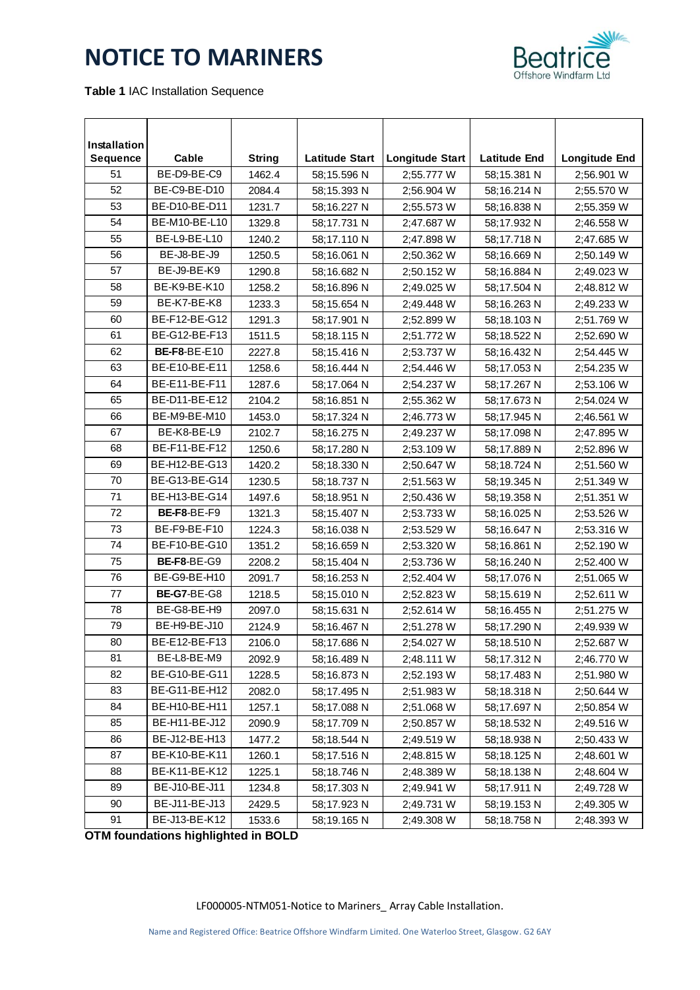

**Table 1** IAC Installation Sequence

| Installation |                     |               |                       |                        |                     |                      |
|--------------|---------------------|---------------|-----------------------|------------------------|---------------------|----------------------|
| Sequence     | Cable               | <b>String</b> | <b>Latitude Start</b> | <b>Longitude Start</b> | <b>Latitude End</b> | <b>Longitude End</b> |
| 51           | BE-D9-BE-C9         | 1462.4        | 58;15.596 N           | 2;55.777 W             | 58;15.381 N         | 2;56.901 W           |
| 52           | BE-C9-BE-D10        | 2084.4        | 58;15.393 N           | 2;56.904 W             | 58;16.214 N         | 2;55.570 W           |
| 53           | BE-D10-BE-D11       | 1231.7        | 58;16.227 N           | 2;55.573 W             | 58:16.838 N         | 2;55.359 W           |
| 54           | BE-M10-BE-L10       | 1329.8        | 58;17.731 N           | 2;47.687 W             | 58;17.932 N         | 2;46.558 W           |
| 55           | BE-L9-BE-L10        | 1240.2        | 58;17.110 N           | 2;47.898 W             | 58;17.718 N         | 2;47.685 W           |
| 56           | BE-J8-BE-J9         | 1250.5        | 58;16.061 N           | 2;50.362 W             | 58;16.669 N         | 2;50.149 W           |
| 57           | BE-J9-BE-K9         | 1290.8        | 58:16.682 N           | 2;50.152 W             | 58:16.884 N         | 2;49.023 W           |
| 58           | BE-K9-BE-K10        | 1258.2        | 58;16.896 N           | 2;49.025 W             | 58;17.504 N         | 2;48.812 W           |
| 59           | BE-K7-BE-K8         | 1233.3        | 58;15.654 N           | 2;49.448 W             | 58;16.263 N         | 2;49.233 W           |
| 60           | BE-F12-BE-G12       | 1291.3        | 58;17.901 N           | 2;52.899 W             | 58;18.103 N         | 2;51.769 W           |
| 61           | BE-G12-BE-F13       | 1511.5        | 58;18.115 N           | 2;51.772 W             | 58;18.522 N         | 2;52.690 W           |
| 62           | <b>BE-F8-BE-E10</b> | 2227.8        | 58;15.416 N           | 2;53.737 W             | 58;16.432 N         | 2;54.445 W           |
| 63           | BE-E10-BE-E11       | 1258.6        | 58;16.444 N           | 2:54.446 W             | 58;17.053 N         | 2;54.235 W           |
| 64           | BE-E11-BE-F11       | 1287.6        | 58;17.064 N           | 2;54.237 W             | 58;17.267 N         | 2;53.106 W           |
| 65           | BE-D11-BE-E12       | 2104.2        | 58:16.851 N           | 2;55.362 W             | 58;17.673 N         | 2;54.024 W           |
| 66           | BE-M9-BE-M10        | 1453.0        | 58;17.324 N           | 2;46.773 W             | 58;17.945 N         | 2;46.561 W           |
| 67           | BE-K8-BE-L9         | 2102.7        | 58;16.275 N           | 2;49.237 W             | 58;17.098 N         | 2;47.895 W           |
| 68           | BE-F11-BE-F12       | 1250.6        | 58;17.280 N           | 2;53.109 W             | 58;17.889 N         | 2;52.896 W           |
| 69           | BE-H12-BE-G13       | 1420.2        | 58;18.330 N           | 2;50.647 W             | 58;18.724 N         | 2;51.560 W           |
| 70           | BE-G13-BE-G14       | 1230.5        | 58;18.737 N           | 2;51.563 W             | 58;19.345 N         | 2;51.349 W           |
| 71           | BE-H13-BE-G14       | 1497.6        | 58;18.951 N           | 2;50.436 W             | 58;19.358 N         | 2;51.351 W           |
| 72           | BE-F8-BE-F9         | 1321.3        | 58;15.407 N           | 2;53.733 W             | 58;16.025 N         | 2;53.526 W           |
| 73           | BE-F9-BE-F10        | 1224.3        | 58;16.038 N           | 2;53.529 W             | 58;16.647 N         | 2;53.316 W           |
| 74           | BE-F10-BE-G10       | 1351.2        | 58;16.659 N           | 2;53.320 W             | 58;16.861 N         | 2;52.190 W           |
| 75           | BE-F8-BE-G9         | 2208.2        | 58;15.404 N           | 2;53.736 W             | 58;16.240 N         | 2;52.400 W           |
| 76           | BE-G9-BE-H10        | 2091.7        | 58;16.253 N           | 2;52.404 W             | 58;17.076 N         | 2;51.065 W           |
| 77           | <b>BE-G7-BE-G8</b>  | 1218.5        | 58;15.010 N           | 2;52.823 W             | 58;15.619 N         | 2;52.611 W           |
| 78           | BE-G8-BE-H9         | 2097.0        | 58;15.631 N           | 2;52.614 W             | 58;16.455 N         | 2;51.275 W           |
| 79           | BE-H9-BE-J10        | 2124.9        | 58;16.467 N           | 2;51.278 W             | 58;17.290 N         | 2;49.939 W           |
| 80           | BE-E12-BE-F13       | 2106.0        | 58;17.686 N           | 2;54.027 W             | 58;18.510 N         | 2;52.687 W           |
| 81           | BE-L8-BE-M9         | 2092.9        | 58;16.489 N           | 2;48.111 W             | 58;17.312 N         | 2;46.770 W           |
| 82           | BE-G10-BE-G11       | 1228.5        | 58;16.873 N           | 2;52.193 W             | 58;17.483 N         | 2;51.980 W           |
| 83           | BE-G11-BE-H12       | 2082.0        | 58;17.495 N           | 2;51.983 W             | 58;18.318 N         | 2;50.644 W           |
| 84           | BE-H10-BE-H11       | 1257.1        | 58;17.088 N           | 2;51.068 W             | 58;17.697 N         | 2;50.854 W           |
| 85           | BE-H11-BE-J12       | 2090.9        | 58;17.709 N           | 2;50.857 W             | 58:18.532 N         | 2;49.516 W           |
| 86           | BE-J12-BE-H13       | 1477.2        | 58;18.544 N           | 2;49.519 W             | 58;18.938 N         | 2;50.433 W           |
| 87           | BE-K10-BE-K11       | 1260.1        | 58;17.516 N           | 2;48.815 W             | 58;18.125 N         | 2;48.601 W           |
| 88           | BE-K11-BE-K12       | 1225.1        | 58;18.746 N           | 2;48.389 W             | 58;18.138 N         | 2;48.604 W           |
| 89           | BE-J10-BE-J11       | 1234.8        | 58;17.303 N           | 2;49.941 W             | 58;17.911 N         | 2;49.728 W           |
| 90           | BE-J11-BE-J13       | 2429.5        | 58;17.923 N           | 2;49.731 W             | 58;19.153 N         | 2;49.305 W           |
| 91           | BE-J13-BE-K12       | 1533.6        | 58;19.165 N           | 2;49.308 W             | 58;18.758 N         | 2;48.393 W           |

OTM foundations highlighted in BOLD **that in a set of the set of the set of the set of the set of the set of the set of the set of the set of the set of the set of the set of the set of the set of the set of the set of the**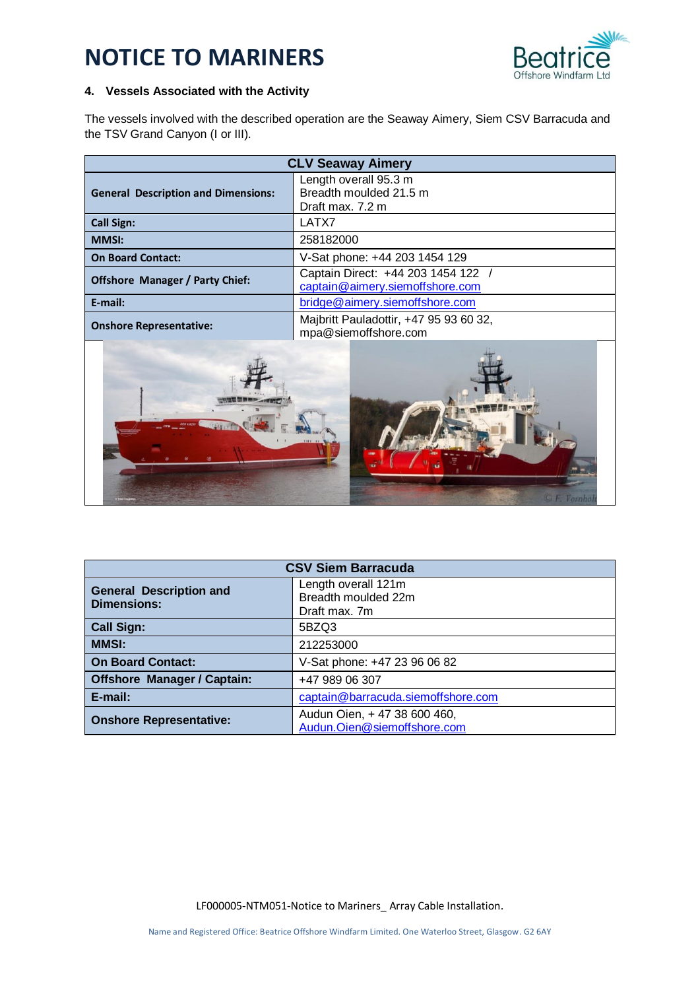

### **4. Vessels Associated with the Activity**

The vessels involved with the described operation are the Seaway Aimery, Siem CSV Barracuda and the TSV Grand Canyon (I or III).

| <b>CLV Seaway Aimery</b>                   |                                                                     |
|--------------------------------------------|---------------------------------------------------------------------|
| <b>General Description and Dimensions:</b> | Length overall 95.3 m<br>Breadth moulded 21.5 m<br>Draft max. 7.2 m |
| <b>Call Sign:</b>                          | LATX7                                                               |
| <b>MMSI:</b>                               | 258182000                                                           |
| <b>On Board Contact:</b>                   | V-Sat phone: +44 203 1454 129                                       |
| <b>Offshore Manager / Party Chief:</b>     | Captain Direct: +44 203 1454 122<br>captain@aimery.siemoffshore.com |
| E-mail:                                    | bridge@aimery.siemoffshore.com                                      |
| <b>Onshore Representative:</b>             | Majbritt Pauladottir, +47 95 93 60 32,<br>mpa@siemoffshore.com      |



| <b>CSV Siem Barracuda</b>                            |                                                             |  |
|------------------------------------------------------|-------------------------------------------------------------|--|
| <b>General Description and</b><br><b>Dimensions:</b> | Length overall 121m<br>Breadth moulded 22m<br>Draft max. 7m |  |
| <b>Call Sign:</b>                                    | 5BZQ3                                                       |  |
| <b>MMSI:</b>                                         | 212253000                                                   |  |
| <b>On Board Contact:</b>                             | V-Sat phone: +47 23 96 06 82                                |  |
| <b>Offshore Manager / Captain:</b>                   | +47 989 06 307                                              |  |
| E-mail:                                              | captain@barracuda.siemoffshore.com                          |  |
| <b>Onshore Representative:</b>                       | Audun Oien, + 47 38 600 460,<br>Audun.Oien@siemoffshore.com |  |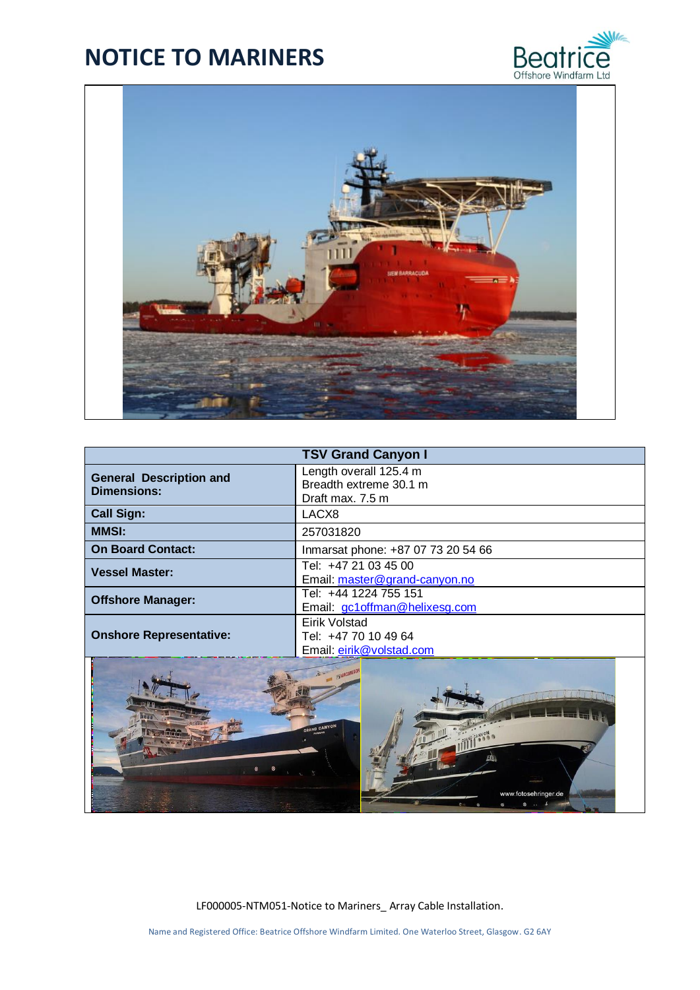



| <b>TSV Grand Canyon I</b>                            |                                                                      |  |
|------------------------------------------------------|----------------------------------------------------------------------|--|
| <b>General Description and</b><br><b>Dimensions:</b> | Length overall 125.4 m<br>Breadth extreme 30.1 m<br>Draft max. 7.5 m |  |
| <b>Call Sign:</b>                                    | LACX8                                                                |  |
| <b>MMSI:</b>                                         | 257031820                                                            |  |
| <b>On Board Contact:</b>                             | Inmarsat phone: +87 07 73 20 54 66                                   |  |
| <b>Vessel Master:</b>                                | Tel: +47 21 03 45 00<br>Email: master@grand-canyon.no                |  |
| <b>Offshore Manager:</b>                             | Tel: +44 1224 755 151<br>Email: gc1offman@helixesg.com               |  |
| <b>Onshore Representative:</b>                       | Eirik Volstad<br>Tel: +47 70 10 49 64<br>Email: eirik@volstad.com    |  |
|                                                      |                                                                      |  |

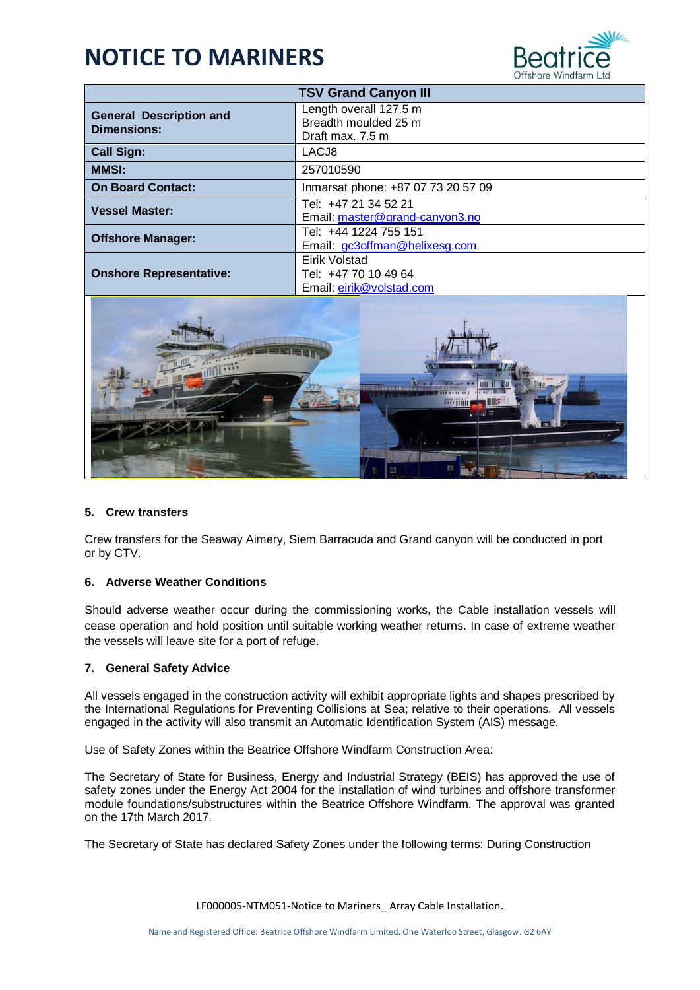

| <b>TSV Grand Canyon III</b>                          |                                                                    |
|------------------------------------------------------|--------------------------------------------------------------------|
| <b>General Description and</b><br><b>Dimensions:</b> | Length overall 127.5 m<br>Breadth moulded 25 m<br>Draft max. 7.5 m |
| <b>Call Sign:</b>                                    | LACJ8                                                              |
| <b>MMSI:</b>                                         | 257010590                                                          |
| <b>On Board Contact:</b>                             | Inmarsat phone: +87 07 73 20 57 09                                 |
| <b>Vessel Master:</b>                                | Tel: +47 21 34 52 21<br>Email: master@grand-canyon3.no             |
| <b>Offshore Manager:</b>                             | Tel: +44 1224 755 151<br>Email: gc3offman@helixesg.com             |
| <b>Onshore Representative:</b>                       | Eirik Volstad<br>Tel: +47 70 10 49 64<br>Email: eirik@volstad.com  |



#### **5. Crew transfers**

Crew transfers for the Seaway Aimery, Siem Barracuda and Grand canyon will be conducted in port or by CTV.

#### **6. Adverse Weather Conditions**

Should adverse weather occur during the commissioning works, the Cable installation vessels will cease operation and hold position until suitable working weather returns. In case of extreme weather the vessels will leave site for a port of refuge.

#### **7. General Safety Advice**

All vessels engaged in the construction activity will exhibit appropriate lights and shapes prescribed by the International Regulations for Preventing Collisions at Sea; relative to their operations. All vessels engaged in the activity will also transmit an Automatic Identification System (AIS) message.

Use of Safety Zones within the Beatrice Offshore Windfarm Construction Area:

The Secretary of State for Business, Energy and Industrial Strategy (BEIS) has approved the use of safety zones under the Energy Act 2004 for the installation of wind turbines and offshore transformer module foundations/substructures within the Beatrice Offshore Windfarm. The approval was granted on the 17th March 2017.

The Secretary of State has declared Safety Zones under the following terms: During Construction